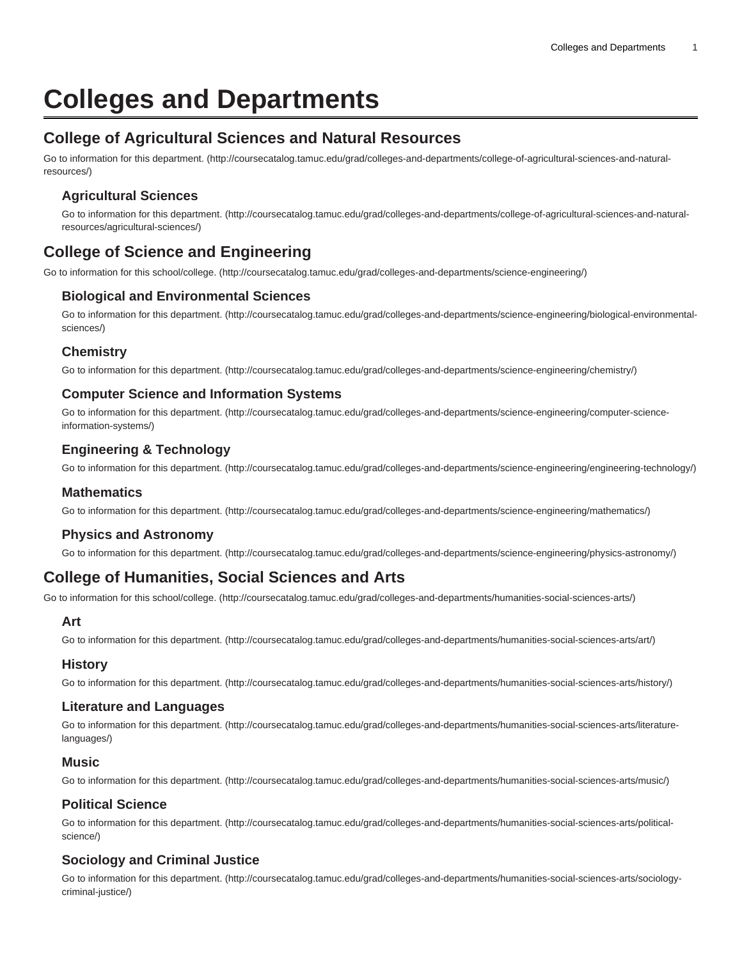# **Colleges and Departments**

# **College of Agricultural Sciences and Natural Resources**

[Go to information for this department. \(http://coursecatalog.tamuc.edu/grad/colleges-and-departments/college-of-agricultural-sciences-and-natural](http://coursecatalog.tamuc.edu/grad/colleges-and-departments/college-of-agricultural-sciences-and-natural-resources/)[resources/](http://coursecatalog.tamuc.edu/grad/colleges-and-departments/college-of-agricultural-sciences-and-natural-resources/))

# **Agricultural Sciences**

[Go to information for this department. \(http://coursecatalog.tamuc.edu/grad/colleges-and-departments/college-of-agricultural-sciences-and-natural](http://coursecatalog.tamuc.edu/grad/colleges-and-departments/college-of-agricultural-sciences-and-natural-resources/agricultural-sciences/)[resources/agricultural-sciences/](http://coursecatalog.tamuc.edu/grad/colleges-and-departments/college-of-agricultural-sciences-and-natural-resources/agricultural-sciences/))

# **College of Science and Engineering**

[Go to information for this school/college.](http://coursecatalog.tamuc.edu/grad/colleges-and-departments/science-engineering/) ([http://coursecatalog.tamuc.edu/grad/colleges-and-departments/science-engineering/\)](http://coursecatalog.tamuc.edu/grad/colleges-and-departments/science-engineering/)

# **Biological and Environmental Sciences**

[Go to information for this department. \(http://coursecatalog.tamuc.edu/grad/colleges-and-departments/science-engineering/biological-environmental](http://coursecatalog.tamuc.edu/grad/colleges-and-departments/science-engineering/biological-environmental-sciences/)[sciences/](http://coursecatalog.tamuc.edu/grad/colleges-and-departments/science-engineering/biological-environmental-sciences/))

# **Chemistry**

[Go to information for this department. \(http://coursecatalog.tamuc.edu/grad/colleges-and-departments/science-engineering/chemistry/](http://coursecatalog.tamuc.edu/grad/colleges-and-departments/science-engineering/chemistry/))

# **Computer Science and Information Systems**

[Go to information for this department. \(http://coursecatalog.tamuc.edu/grad/colleges-and-departments/science-engineering/computer-science](http://coursecatalog.tamuc.edu/grad/colleges-and-departments/science-engineering/computer-science-information-systems/)[information-systems/\)](http://coursecatalog.tamuc.edu/grad/colleges-and-departments/science-engineering/computer-science-information-systems/)

# **Engineering & Technology**

[Go to information for this department. \(http://coursecatalog.tamuc.edu/grad/colleges-and-departments/science-engineering/engineering-technology/](http://coursecatalog.tamuc.edu/grad/colleges-and-departments/science-engineering/engineering-technology/))

#### **Mathematics**

[Go to information for this department. \(http://coursecatalog.tamuc.edu/grad/colleges-and-departments/science-engineering/mathematics/](http://coursecatalog.tamuc.edu/grad/colleges-and-departments/science-engineering/mathematics/))

# **Physics and Astronomy**

[Go to information for this department. \(http://coursecatalog.tamuc.edu/grad/colleges-and-departments/science-engineering/physics-astronomy/\)](http://coursecatalog.tamuc.edu/grad/colleges-and-departments/science-engineering/physics-astronomy/)

# **College of Humanities, Social Sciences and Arts**

[Go to information for this school/college.](http://coursecatalog.tamuc.edu/grad/colleges-and-departments/humanities-social-sciences-arts/) ([http://coursecatalog.tamuc.edu/grad/colleges-and-departments/humanities-social-sciences-arts/\)](http://coursecatalog.tamuc.edu/grad/colleges-and-departments/humanities-social-sciences-arts/)

#### **Art**

[Go to information for this department. \(http://coursecatalog.tamuc.edu/grad/colleges-and-departments/humanities-social-sciences-arts/art/](http://coursecatalog.tamuc.edu/grad/colleges-and-departments/humanities-social-sciences-arts/art/))

# **History**

[Go to information for this department. \(http://coursecatalog.tamuc.edu/grad/colleges-and-departments/humanities-social-sciences-arts/history/\)](http://coursecatalog.tamuc.edu/grad/colleges-and-departments/humanities-social-sciences-arts/history/)

# **Literature and Languages**

[Go to information for this department. \(http://coursecatalog.tamuc.edu/grad/colleges-and-departments/humanities-social-sciences-arts/literature](http://coursecatalog.tamuc.edu/grad/colleges-and-departments/humanities-social-sciences-arts/literature-languages/)[languages/](http://coursecatalog.tamuc.edu/grad/colleges-and-departments/humanities-social-sciences-arts/literature-languages/))

#### **Music**

[Go to information for this department. \(http://coursecatalog.tamuc.edu/grad/colleges-and-departments/humanities-social-sciences-arts/music/\)](http://coursecatalog.tamuc.edu/grad/colleges-and-departments/humanities-social-sciences-arts/music/)

# **Political Science**

[Go to information for this department. \(http://coursecatalog.tamuc.edu/grad/colleges-and-departments/humanities-social-sciences-arts/political](http://coursecatalog.tamuc.edu/grad/colleges-and-departments/humanities-social-sciences-arts/political-science/)[science/](http://coursecatalog.tamuc.edu/grad/colleges-and-departments/humanities-social-sciences-arts/political-science/))

# **Sociology and Criminal Justice**

[Go to information for this department. \(http://coursecatalog.tamuc.edu/grad/colleges-and-departments/humanities-social-sciences-arts/sociology](http://coursecatalog.tamuc.edu/grad/colleges-and-departments/humanities-social-sciences-arts/sociology-criminal-justice/)[criminal-justice/](http://coursecatalog.tamuc.edu/grad/colleges-and-departments/humanities-social-sciences-arts/sociology-criminal-justice/))